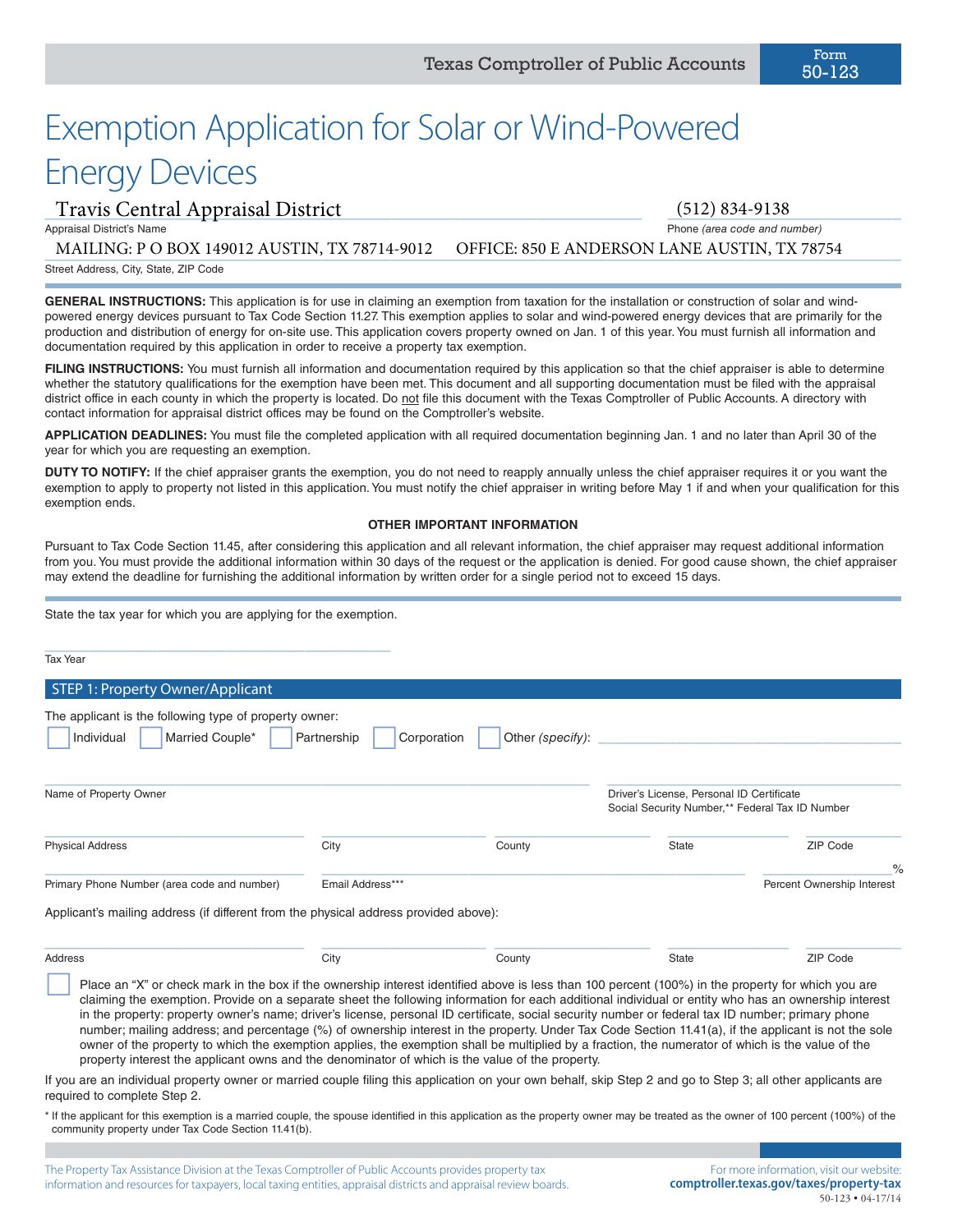# Exemption Application for Solar or Wind-Powered Energy Devices

## \_\_\_\_\_\_\_\_\_\_\_\_\_\_\_\_\_\_\_\_\_\_\_\_\_\_\_\_\_\_\_\_\_\_\_\_\_\_\_\_\_\_\_\_\_\_\_\_\_\_\_\_\_\_\_\_\_\_\_\_\_\_\_\_\_\_\_\_\_ \_\_\_\_\_\_\_\_\_\_\_\_\_\_\_\_\_\_\_\_\_\_\_\_\_\_\_ Travis Central Appraisal District (512) 834-9138

Appraisal District's Name Phone *(area code and number)*

\_\_\_\_\_\_\_\_\_\_\_\_\_\_\_\_\_\_\_\_\_\_\_\_\_\_\_\_\_\_\_\_\_\_\_\_\_\_\_\_\_\_\_\_\_\_\_\_\_\_\_\_\_\_\_\_\_\_\_\_\_\_\_\_\_\_\_\_\_\_\_\_\_\_\_\_\_\_\_\_\_\_\_\_\_\_\_\_\_\_\_\_\_\_\_\_\_\_\_ MAILING: P O BOX 149012 AUSTIN, TX 78714-9012 OFFICE: 850 E ANDERSON LANE AUSTIN, TX 78754

Street Address, City, State, ZIP Code

**GENERAL INSTRUCTIONS:** This application is for use in claiming an exemption from taxation for the installation or construction of solar and windpowered energy devices pursuant to Tax Code Section 11.27. This exemption applies to solar and wind-powered energy devices that are primarily for the production and distribution of energy for on-site use. This application covers property owned on Jan. 1 of this year. You must furnish all information and documentation required by this application in order to receive a property tax exemption.

FILING INSTRUCTIONS: You must furnish all information and documentation required by this application so that the chief appraiser is able to determine whether the statutory qualifications for the exemption have been met. This document and all supporting documentation must be filed with the appraisal district office in each county in which the property is located. Do not file this document with the Texas Comptroller of Public Accounts. A directory with contact information for appraisal district offices may be found on the Comptroller's website.

**APPLICATION DEADLINES:** You must file the completed application with all required documentation beginning Jan. 1 and no later than April 30 of the year for which you are requesting an exemption.

**DUTY TO NOTIFY:** If the chief appraiser grants the exemption, you do not need to reapply annually unless the chief appraiser requires it or you want the exemption to apply to property not listed in this application. You must notify the chief appraiser in writing before May 1 if and when your qualification for this exemption ends.

#### **OTHER IMPORTANT INFORMATION**

Pursuant to Tax Code Section 11.45, after considering this application and all relevant information, the chief appraiser may request additional information from you. You must provide the additional information within 30 days of the request or the application is denied. For good cause shown, the chief appraiser may extend the deadline for furnishing the additional information by written order for a single period not to exceed 15 days.

State the tax year for which you are applying for the exemption.

| <b>Tax Year</b>                                                                         |                  |                                 |                                                                                              |                                             |
|-----------------------------------------------------------------------------------------|------------------|---------------------------------|----------------------------------------------------------------------------------------------|---------------------------------------------|
| STEP 1: Property Owner/Applicant                                                        |                  |                                 |                                                                                              |                                             |
| The applicant is the following type of property owner:<br>Married Couple*<br>Individual | Partnership      | Other (specify):<br>Corporation |                                                                                              |                                             |
| Name of Property Owner                                                                  |                  |                                 | Driver's License, Personal ID Certificate<br>Social Security Number,** Federal Tax ID Number |                                             |
| <b>Physical Address</b>                                                                 | City             | County                          | State                                                                                        | ZIP Code                                    |
| Primary Phone Number (area code and number)                                             | Email Address*** |                                 |                                                                                              | $\frac{0}{0}$<br>Percent Ownership Interest |
| Applicant's mailing address (if different from the physical address provided above):    |                  |                                 |                                                                                              |                                             |
| Address                                                                                 | City             | County                          | <b>State</b>                                                                                 | ZIP Code                                    |

Place an "X" or check mark in the box if the ownership interest identified above is less than 100 percent (100%) in the property for which you are claiming the exemption. Provide on a separate sheet the following information for each additional individual or entity who has an ownership interest in the property: property owner's name; driver's license, personal ID certificate, social security number or federal tax ID number; primary phone number; mailing address; and percentage (%) of ownership interest in the property. Under Tax Code Section 11.41(a), if the applicant is not the sole owner of the property to which the exemption applies, the exemption shall be multiplied by a fraction, the numerator of which is the value of the property interest the applicant owns and the denominator of which is the value of the property.

If you are an individual property owner or married couple filing this application on your own behalf, skip Step 2 and go to Step 3; all other applicants are required to complete Step 2.

\* If the applicant for this exemption is a married couple, the spouse identified in this application as the property owner may be treated as the owner of 100 percent (100%) of the community property under Tax Code Section 11.41(b).

The Property Tax Assistance Division at the Texas Comptroller of Public Accounts provides property tax information and resources for taxpayers, local taxing entities, appraisal districts and appraisal review boards.